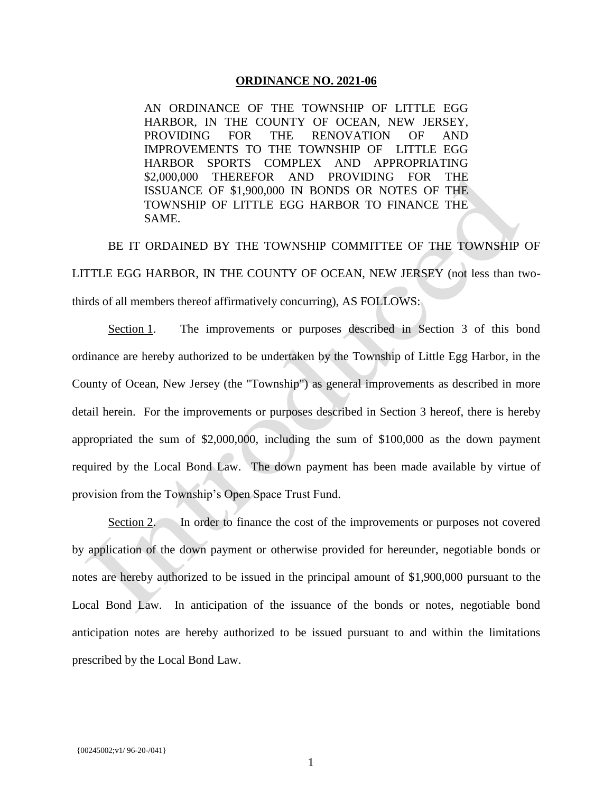## **ORDINANCE NO. 2021-06**

AN ORDINANCE OF THE TOWNSHIP OF LITTLE EGG HARBOR, IN THE COUNTY OF OCEAN, NEW JERSEY, PROVIDING FOR THE RENOVATION OF AND IMPROVEMENTS TO THE TOWNSHIP OF LITTLE EGG HARBOR SPORTS COMPLEX AND APPROPRIATING \$2,000,000 THEREFOR AND PROVIDING FOR THE ISSUANCE OF \$1,900,000 IN BONDS OR NOTES OF THE TOWNSHIP OF LITTLE EGG HARBOR TO FINANCE THE SAME.

BE IT ORDAINED BY THE TOWNSHIP COMMITTEE OF THE TOWNSHIP OF LITTLE EGG HARBOR, IN THE COUNTY OF OCEAN, NEW JERSEY (not less than twothirds of all members thereof affirmatively concurring), AS FOLLOWS:

Section 1. The improvements or purposes described in Section 3 of this bond ordinance are hereby authorized to be undertaken by the Township of Little Egg Harbor, in the County of Ocean, New Jersey (the "Township") as general improvements as described in more detail herein. For the improvements or purposes described in Section 3 hereof, there is hereby appropriated the sum of \$2,000,000, including the sum of \$100,000 as the down payment required by the Local Bond Law. The down payment has been made available by virtue of provision from the Township's Open Space Trust Fund.

Section 2. In order to finance the cost of the improvements or purposes not covered by application of the down payment or otherwise provided for hereunder, negotiable bonds or notes are hereby authorized to be issued in the principal amount of \$1,900,000 pursuant to the Local Bond Law. In anticipation of the issuance of the bonds or notes, negotiable bond anticipation notes are hereby authorized to be issued pursuant to and within the limitations prescribed by the Local Bond Law.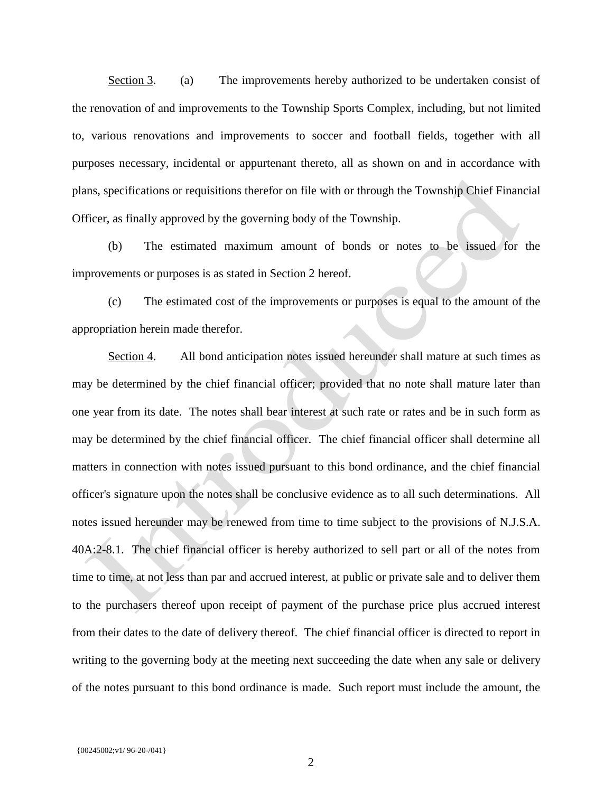Section 3. (a) The improvements hereby authorized to be undertaken consist of the renovation of and improvements to the Township Sports Complex, including, but not limited to, various renovations and improvements to soccer and football fields, together with all purposes necessary, incidental or appurtenant thereto, all as shown on and in accordance with plans, specifications or requisitions therefor on file with or through the Township Chief Financial Officer, as finally approved by the governing body of the Township.

(b) The estimated maximum amount of bonds or notes to be issued for the improvements or purposes is as stated in Section 2 hereof.

(c) The estimated cost of the improvements or purposes is equal to the amount of the appropriation herein made therefor.

Section 4. All bond anticipation notes issued hereunder shall mature at such times as may be determined by the chief financial officer; provided that no note shall mature later than one year from its date. The notes shall bear interest at such rate or rates and be in such form as may be determined by the chief financial officer. The chief financial officer shall determine all matters in connection with notes issued pursuant to this bond ordinance, and the chief financial officer's signature upon the notes shall be conclusive evidence as to all such determinations. All notes issued hereunder may be renewed from time to time subject to the provisions of N.J.S.A. 40A:2-8.1. The chief financial officer is hereby authorized to sell part or all of the notes from time to time, at not less than par and accrued interest, at public or private sale and to deliver them to the purchasers thereof upon receipt of payment of the purchase price plus accrued interest from their dates to the date of delivery thereof. The chief financial officer is directed to report in writing to the governing body at the meeting next succeeding the date when any sale or delivery of the notes pursuant to this bond ordinance is made. Such report must include the amount, the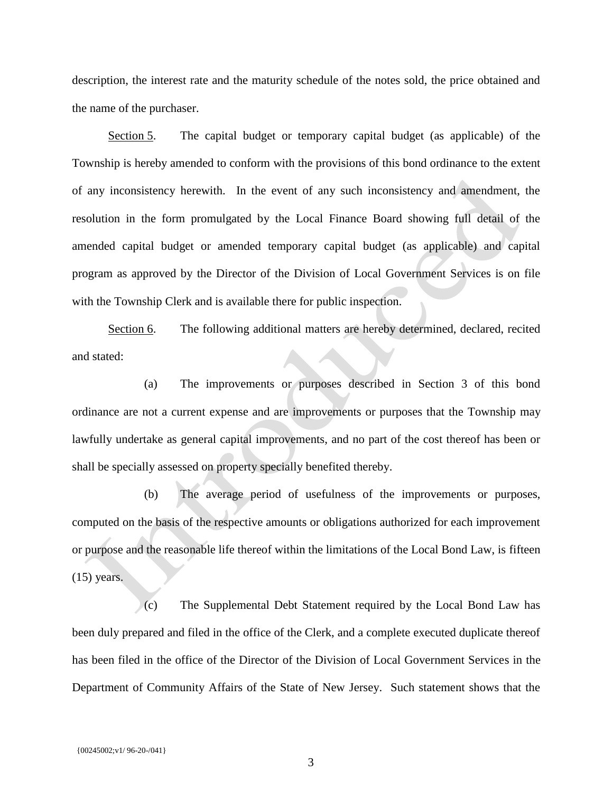description, the interest rate and the maturity schedule of the notes sold, the price obtained and the name of the purchaser.

Section 5. The capital budget or temporary capital budget (as applicable) of the Township is hereby amended to conform with the provisions of this bond ordinance to the extent of any inconsistency herewith. In the event of any such inconsistency and amendment, the resolution in the form promulgated by the Local Finance Board showing full detail of the amended capital budget or amended temporary capital budget (as applicable) and capital program as approved by the Director of the Division of Local Government Services is on file with the Township Clerk and is available there for public inspection.

Section 6. The following additional matters are hereby determined, declared, recited and stated:

(a) The improvements or purposes described in Section 3 of this bond ordinance are not a current expense and are improvements or purposes that the Township may lawfully undertake as general capital improvements, and no part of the cost thereof has been or shall be specially assessed on property specially benefited thereby.

(b) The average period of usefulness of the improvements or purposes, computed on the basis of the respective amounts or obligations authorized for each improvement or purpose and the reasonable life thereof within the limitations of the Local Bond Law, is fifteen (15) years.

(c) The Supplemental Debt Statement required by the Local Bond Law has been duly prepared and filed in the office of the Clerk, and a complete executed duplicate thereof has been filed in the office of the Director of the Division of Local Government Services in the Department of Community Affairs of the State of New Jersey. Such statement shows that the

3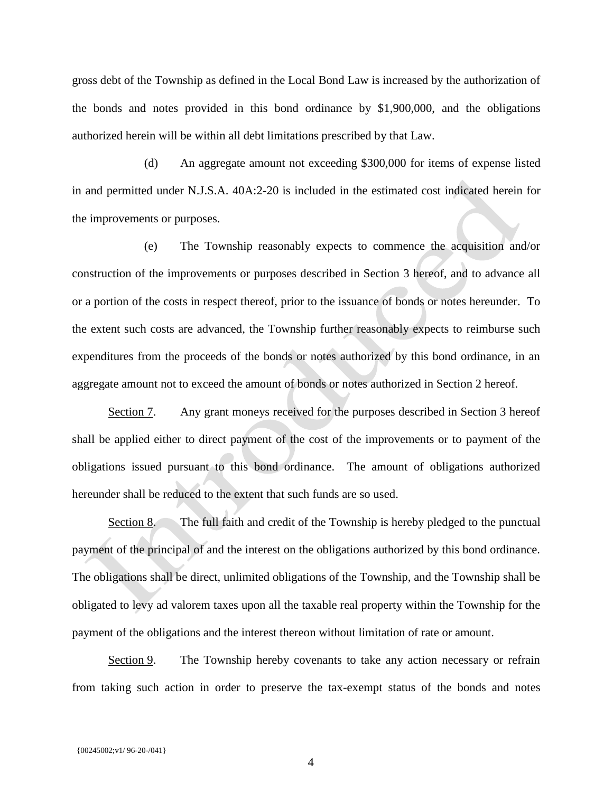gross debt of the Township as defined in the Local Bond Law is increased by the authorization of the bonds and notes provided in this bond ordinance by \$1,900,000, and the obligations authorized herein will be within all debt limitations prescribed by that Law.

(d) An aggregate amount not exceeding \$300,000 for items of expense listed in and permitted under N.J.S.A. 40A:2-20 is included in the estimated cost indicated herein for the improvements or purposes.

(e) The Township reasonably expects to commence the acquisition and/or construction of the improvements or purposes described in Section 3 hereof, and to advance all or a portion of the costs in respect thereof, prior to the issuance of bonds or notes hereunder. To the extent such costs are advanced, the Township further reasonably expects to reimburse such expenditures from the proceeds of the bonds or notes authorized by this bond ordinance, in an aggregate amount not to exceed the amount of bonds or notes authorized in Section 2 hereof.

Section 7. Any grant moneys received for the purposes described in Section 3 hereof shall be applied either to direct payment of the cost of the improvements or to payment of the obligations issued pursuant to this bond ordinance. The amount of obligations authorized hereunder shall be reduced to the extent that such funds are so used.

Section 8. The full faith and credit of the Township is hereby pledged to the punctual payment of the principal of and the interest on the obligations authorized by this bond ordinance. The obligations shall be direct, unlimited obligations of the Township, and the Township shall be obligated to levy ad valorem taxes upon all the taxable real property within the Township for the payment of the obligations and the interest thereon without limitation of rate or amount.

Section 9. The Township hereby covenants to take any action necessary or refrain from taking such action in order to preserve the tax-exempt status of the bonds and notes

4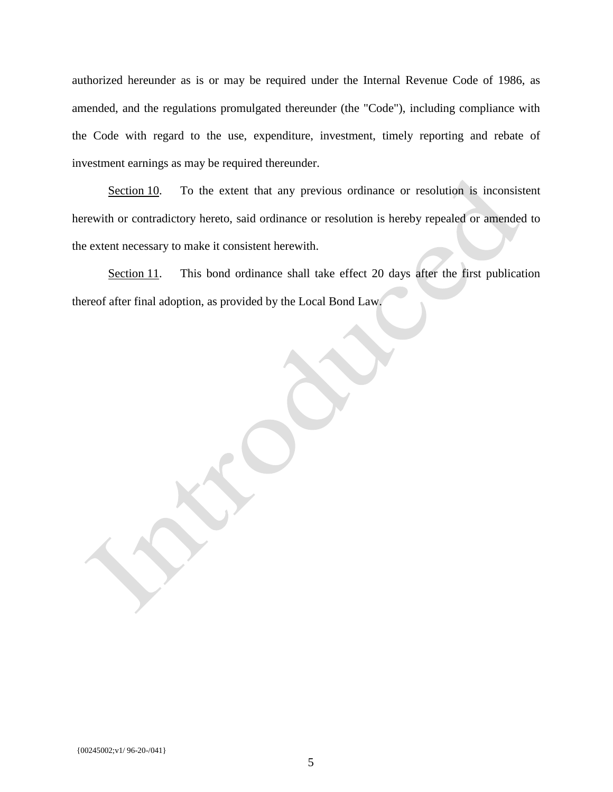authorized hereunder as is or may be required under the Internal Revenue Code of 1986, as amended, and the regulations promulgated thereunder (the "Code"), including compliance with the Code with regard to the use, expenditure, investment, timely reporting and rebate of investment earnings as may be required thereunder.

Section 10. To the extent that any previous ordinance or resolution is inconsistent herewith or contradictory hereto, said ordinance or resolution is hereby repealed or amended to the extent necessary to make it consistent herewith.

Section 11. This bond ordinance shall take effect 20 days after the first publication thereof after final adoption, as provided by the Local Bond Law.